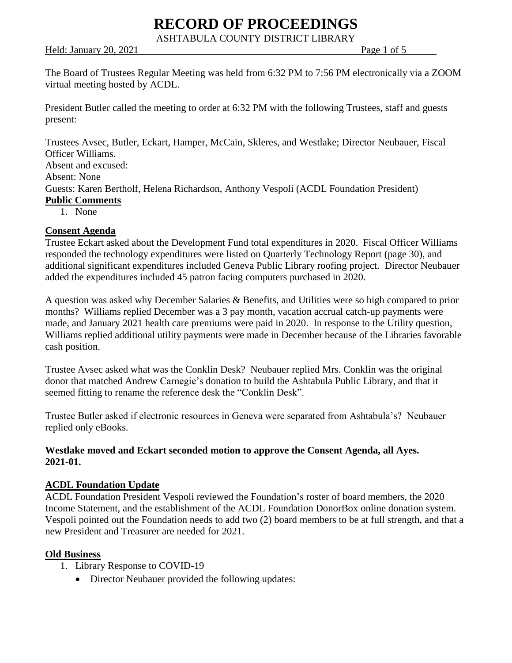ASHTABULA COUNTY DISTRICT LIBRARY

Held: January 20, 2021 Page 1 of 5

The Board of Trustees Regular Meeting was held from 6:32 PM to 7:56 PM electronically via a ZOOM virtual meeting hosted by ACDL.

President Butler called the meeting to order at 6:32 PM with the following Trustees, staff and guests present:

Trustees Avsec, Butler, Eckart, Hamper, McCain, Skleres, and Westlake; Director Neubauer, Fiscal Officer Williams. Absent and excused: Absent: None Guests: Karen Bertholf, Helena Richardson, Anthony Vespoli (ACDL Foundation President) **Public Comments**

1. None

#### **Consent Agenda**

Trustee Eckart asked about the Development Fund total expenditures in 2020. Fiscal Officer Williams responded the technology expenditures were listed on Quarterly Technology Report (page 30), and additional significant expenditures included Geneva Public Library roofing project. Director Neubauer added the expenditures included 45 patron facing computers purchased in 2020.

A question was asked why December Salaries & Benefits, and Utilities were so high compared to prior months? Williams replied December was a 3 pay month, vacation accrual catch-up payments were made, and January 2021 health care premiums were paid in 2020. In response to the Utility question, Williams replied additional utility payments were made in December because of the Libraries favorable cash position.

Trustee Avsec asked what was the Conklin Desk? Neubauer replied Mrs. Conklin was the original donor that matched Andrew Carnegie's donation to build the Ashtabula Public Library, and that it seemed fitting to rename the reference desk the "Conklin Desk".

Trustee Butler asked if electronic resources in Geneva were separated from Ashtabula's? Neubauer replied only eBooks.

#### **Westlake moved and Eckart seconded motion to approve the Consent Agenda, all Ayes. 2021-01.**

#### **ACDL Foundation Update**

ACDL Foundation President Vespoli reviewed the Foundation's roster of board members, the 2020 Income Statement, and the establishment of the ACDL Foundation DonorBox online donation system. Vespoli pointed out the Foundation needs to add two (2) board members to be at full strength, and that a new President and Treasurer are needed for 2021.

#### **Old Business**

- 1. Library Response to COVID-19
	- Director Neubauer provided the following updates: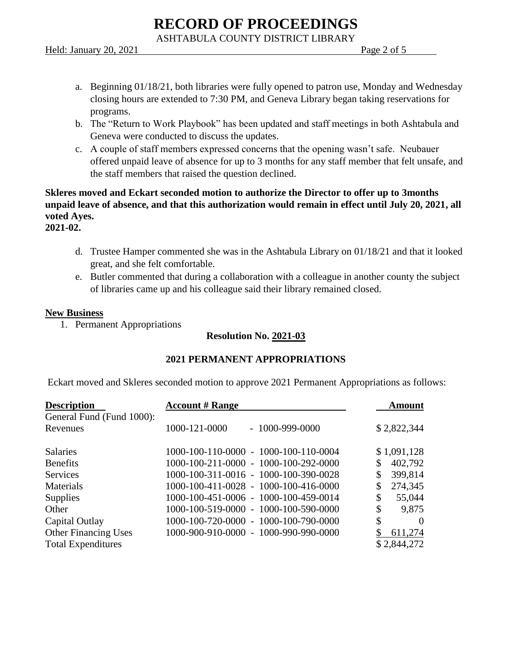ASHTABULA COUNTY DISTRICT LIBRARY

Held: January 20, 2021 Page 2 of 5

- a. Beginning 01/18/21, both libraries were fully opened to patron use, Monday and Wednesday closing hours are extended to 7:30 PM, and Geneva Library began taking reservations for programs.
- b. The "Return to Work Playbook" has been updated and staff meetings in both Ashtabula and Geneva were conducted to discuss the updates.
- c. A couple of staff members expressed concerns that the opening wasn't safe. Neubauer offered unpaid leave of absence for up to 3 months for any staff member that felt unsafe, and the staff members that raised the question declined.

**Skleres moved and Eckart seconded motion to authorize the Director to offer up to 3months unpaid leave of absence, and that this authorization would remain in effect until July 20, 2021, all voted Ayes.**

**2021-02.**

- d. Trustee Hamper commented she was in the Ashtabula Library on 01/18/21 and that it looked great, and she felt comfortable.
- e. Butler commented that during a collaboration with a colleague in another county the subject of libraries came up and his colleague said their library remained closed.

#### **New Business**

1. Permanent Appropriations

#### **Resolution No. 2021-03**

#### **2021 PERMANENT APPROPRIATIONS**

Eckart moved and Skleres seconded motion to approve 2021 Permanent Appropriations as follows:

| <b>Description</b>          | <b>Account # Range</b>                | <b>Amount</b>  |
|-----------------------------|---------------------------------------|----------------|
| General Fund (Fund 1000):   |                                       |                |
| Revenues                    | $-1000 - 999 - 0000$<br>1000-121-0000 | \$2,822,344    |
| <b>Salaries</b>             | 1000-100-110-0000 - 1000-100-110-0004 | \$1,091,128    |
| <b>Benefits</b>             | 1000-100-211-0000 - 1000-100-292-0000 | 402,792        |
| <b>Services</b>             | 1000-100-311-0016 - 1000-100-390-0028 | 399,814        |
| Materials                   | 1000-100-411-0028 - 1000-100-416-0000 | 274,345        |
| <b>Supplies</b>             | 1000-100-451-0006 - 1000-100-459-0014 | \$<br>55,044   |
| Other                       | 1000-100-519-0000 - 1000-100-590-0000 | \$<br>9,875    |
| Capital Outlay              | 1000-100-720-0000 - 1000-100-790-0000 | \$<br>$\Omega$ |
| <b>Other Financing Uses</b> | 1000-900-910-0000 - 1000-990-990-0000 | 611,274        |
| <b>Total Expenditures</b>   |                                       | \$2,844,272    |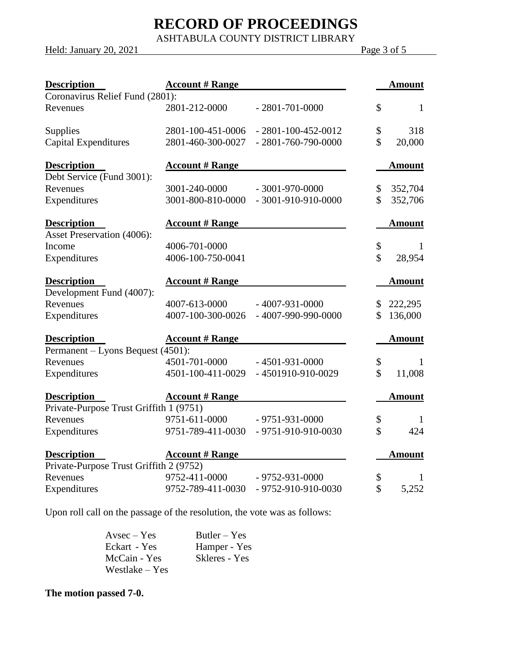ASHTABULA COUNTY DISTRICT LIBRARY

Held: January 20, 2021 Page 3 of 5

| <b>Description</b>                      | <b>Account # Range</b> |                            |                     | <b>Amount</b> |
|-----------------------------------------|------------------------|----------------------------|---------------------|---------------|
| Coronavirus Relief Fund (2801):         |                        |                            |                     |               |
| Revenues                                | 2801-212-0000          | $-2801 - 701 - 0000$       | \$                  | $\mathbf{1}$  |
| Supplies                                | 2801-100-451-0006      | $-2801 - 100 - 452 - 0012$ | \$                  | 318           |
| <b>Capital Expenditures</b>             | 2801-460-300-0027      | $-2801 - 760 - 790 - 0000$ | $\hat{\mathcal{S}}$ | 20,000        |
| <b>Description</b>                      | <b>Account # Range</b> |                            |                     | <b>Amount</b> |
| Debt Service (Fund 3001):               |                        |                            |                     |               |
| Revenues                                | 3001-240-0000          | $-3001 - 970 - 0000$       | \$                  | 352,704       |
| Expenditures                            | 3001-800-810-0000      | $-3001 - 910 - 910 - 0000$ | \$                  | 352,706       |
| <b>Description</b>                      | <b>Account # Range</b> |                            |                     | <b>Amount</b> |
| <b>Asset Preservation (4006):</b>       |                        |                            |                     |               |
| Income                                  | 4006-701-0000          |                            | \$                  | 1             |
| Expenditures                            | 4006-100-750-0041      |                            | \$                  | 28,954        |
| <b>Description</b>                      | <b>Account # Range</b> |                            |                     | <b>Amount</b> |
| Development Fund (4007):                |                        |                            |                     |               |
| Revenues                                | 4007-613-0000          | $-4007 - 931 - 0000$       | \$                  | 222,295       |
| Expenditures                            | 4007-100-300-0026      | $-4007 - 990 - 990 - 0000$ | \$                  | 136,000       |
| <b>Description</b>                      | <b>Account # Range</b> |                            |                     | <b>Amount</b> |
| Permanent – Lyons Bequest (4501):       |                        |                            |                     |               |
| Revenues                                | 4501-701-0000          | $-4501 - 931 - 0000$       | \$                  | 1             |
| Expenditures                            | 4501-100-411-0029      | -4501910-910-0029          | \$                  | 11,008        |
| <b>Description</b>                      | <b>Account # Range</b> |                            |                     | <b>Amount</b> |
| Private-Purpose Trust Griffith 1 (9751) |                        |                            |                     |               |
| Revenues                                | 9751-611-0000          | $-9751-931-0000$           | \$                  | 1             |
| Expenditures                            | 9751-789-411-0030      | $-9751 - 910 - 910 - 0030$ | \$                  | 424           |
| <b>Description</b>                      | <b>Account # Range</b> |                            |                     | <b>Amount</b> |
| Private-Purpose Trust Griffith 2 (9752) |                        |                            |                     |               |
| Revenues                                | 9752-411-0000          | $-9752-931-0000$           | \$                  | 1             |
| Expenditures                            | 9752-789-411-0030      | - 9752-910-910-0030        | \$                  | 5,252         |

Upon roll call on the passage of the resolution, the vote was as follows:

| $A$ vsec $-$ Yes | $Butler - Yes$ |
|------------------|----------------|
| Eckart - Yes     | Hamper - Yes   |
| McCain - Yes     | Skleres - Yes  |
| Westlake – Yes   |                |

**The motion passed 7-0.**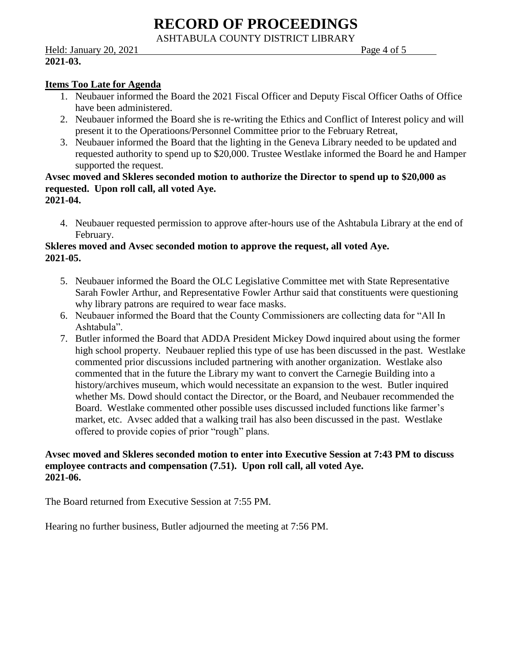ASHTABULA COUNTY DISTRICT LIBRARY

Held: January 20, 2021 Page 4 of 5 **2021-03.**

#### **Items Too Late for Agenda**

- 1. Neubauer informed the Board the 2021 Fiscal Officer and Deputy Fiscal Officer Oaths of Office have been administered.
- 2. Neubauer informed the Board she is re-writing the Ethics and Conflict of Interest policy and will present it to the Operatioons/Personnel Committee prior to the February Retreat,
- 3. Neubauer informed the Board that the lighting in the Geneva Library needed to be updated and requested authority to spend up to \$20,000. Trustee Westlake informed the Board he and Hamper supported the request.

#### **Avsec moved and Skleres seconded motion to authorize the Director to spend up to \$20,000 as requested. Upon roll call, all voted Aye. 2021-04.**

4. Neubauer requested permission to approve after-hours use of the Ashtabula Library at the end of February.

#### **Skleres moved and Avsec seconded motion to approve the request, all voted Aye. 2021-05.**

- 5. Neubauer informed the Board the OLC Legislative Committee met with State Representative Sarah Fowler Arthur, and Representative Fowler Arthur said that constituents were questioning why library patrons are required to wear face masks.
- 6. Neubauer informed the Board that the County Commissioners are collecting data for "All In Ashtabula".
- 7. Butler informed the Board that ADDA President Mickey Dowd inquired about using the former high school property. Neubauer replied this type of use has been discussed in the past. Westlake commented prior discussions included partnering with another organization. Westlake also commented that in the future the Library my want to convert the Carnegie Building into a history/archives museum, which would necessitate an expansion to the west. Butler inquired whether Ms. Dowd should contact the Director, or the Board, and Neubauer recommended the Board. Westlake commented other possible uses discussed included functions like farmer's market, etc. Avsec added that a walking trail has also been discussed in the past. Westlake offered to provide copies of prior "rough" plans.

#### **Avsec moved and Skleres seconded motion to enter into Executive Session at 7:43 PM to discuss employee contracts and compensation (7.51). Upon roll call, all voted Aye. 2021-06.**

The Board returned from Executive Session at 7:55 PM.

Hearing no further business, Butler adjourned the meeting at 7:56 PM.